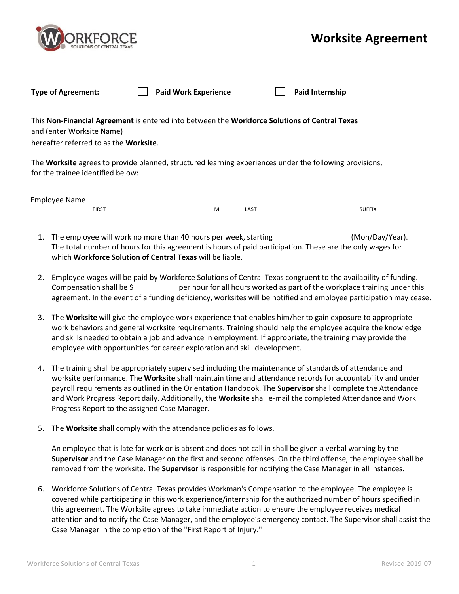

## **Worksite Agreement**

| <b>Type of Agreement:</b>                                                                                                                                                    | <b>Paid Work Experience</b> |      | <b>Paid Internship</b> |  |  |  |  |  |
|------------------------------------------------------------------------------------------------------------------------------------------------------------------------------|-----------------------------|------|------------------------|--|--|--|--|--|
| This Non-Financial Agreement is entered into between the Workforce Solutions of Central Texas<br>and (enter Worksite Name)<br>hereafter referred to as the <b>Worksite</b> . |                             |      |                        |  |  |  |  |  |
| The Worksite agrees to provide planned, structured learning experiences under the following provisions,<br>for the trainee identified below:                                 |                             |      |                        |  |  |  |  |  |
| Employee Name                                                                                                                                                                |                             |      |                        |  |  |  |  |  |
| <b>FIRST</b>                                                                                                                                                                 | MI                          | LAST | <b>SUFFIX</b>          |  |  |  |  |  |

- 1. The employee will work no more than 40 hours per week, starting (Mon/Day/Year). The total number of hours for this agreement is hours of paid participation. These are the only wages for which **Workforce Solution of Central Texas** will be liable.
- 2. Employee wages will be paid by Workforce Solutions of Central Texas congruent to the availability of funding. Compensation shall be \$ **Example 1** per hour for all hours worked as part of the workplace training under this agreement. In the event of a funding deficiency, worksites will be notified and employee participation may cease.
- 3. The **Worksite** will give the employee work experience that enables him/her to gain exposure to appropriate work behaviors and general worksite requirements. Training should help the employee acquire the knowledge and skills needed to obtain a job and advance in employment. If appropriate, the training may provide the employee with opportunities for career exploration and skill development.
- 4. The training shall be appropriately supervised including the maintenance of standards of attendance and worksite performance. The **Worksite** shall maintain time and attendance records for accountability and under payroll requirements as outlined in the Orientation Handbook. The **Supervisor** shall complete the Attendance and Work Progress Report daily. Additionally, the **Worksite** shall e-mail the completed Attendance and Work Progress Report to the assigned Case Manager.
- 5. The **Worksite** shall comply with the attendance policies as follows.

An employee that is late for work or is absent and does not call in shall be given a verbal warning by the **Supervisor** and the Case Manager on the first and second offenses. On the third offense, the employee shall be removed from the worksite. The **Supervisor** is responsible for notifying the Case Manager in all instances.

6. Workforce Solutions of Central Texas provides Workman's Compensation to the employee. The employee is covered while participating in this work experience/internship for the authorized number of hours specified in this agreement. The Worksite agrees to take immediate action to ensure the employee receives medical attention and to notify the Case Manager, and the employee's emergency contact. The Supervisor shall assist the Case Manager in the completion of the "First Report of Injury."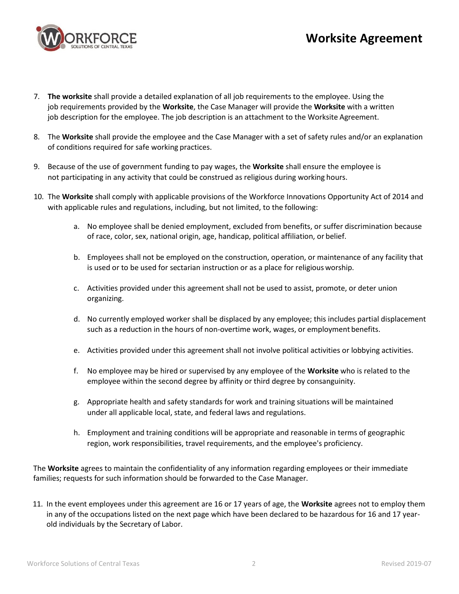



- 7. **The worksite** shall provide a detailed explanation of all job requirements to the employee. Using the job requirements provided by the **Worksite**, the Case Manager will provide the **Worksite** with a written job description for the employee. The job description is an attachment to the Worksite Agreement.
- 8. The **Worksite** shall provide the employee and the Case Manager with a set of safety rules and/or an explanation of conditions required for safe working practices.
- 9. Because of the use of government funding to pay wages, the **Worksite** shall ensure the employee is not participating in any activity that could be construed as religious during working hours.
- 10. The **Worksite** shall comply with applicable provisions of the Workforce Innovations Opportunity Act of 2014 and with applicable rules and regulations, including, but not limited, to the following:
	- a. No employee shall be denied employment, excluded from benefits, or suffer discrimination because of race, color, sex, national origin, age, handicap, political affiliation, or belief.
	- b. Employees shall not be employed on the construction, operation, or maintenance of any facility that is used or to be used for sectarian instruction or as a place for religious worship.
	- c. Activities provided under this agreement shall not be used to assist, promote, or deter union organizing.
	- d. No currently employed worker shall be displaced by any employee; this includes partial displacement such as a reduction in the hours of non-overtime work, wages, or employment benefits.
	- e. Activities provided under this agreement shall not involve political activities or lobbying activities.
	- f. No employee may be hired or supervised by any employee of the **Worksite** who is related to the employee within the second degree by affinity or third degree by consanguinity.
	- g. Appropriate health and safety standards for work and training situations will be maintained under all applicable local, state, and federal laws and regulations.
	- h. Employment and training conditions will be appropriate and reasonable in terms of geographic region, work responsibilities, travel requirements, and the employee's proficiency.

The **Worksite** agrees to maintain the confidentiality of any information regarding employees or their immediate families; requests for such information should be forwarded to the Case Manager.

11. In the event employees under this agreement are 16 or 17 years of age, the **Worksite** agrees not to employ them in any of the occupations listed on the next page which have been declared to be hazardous for 16 and 17 yearold individuals by the Secretary of Labor.